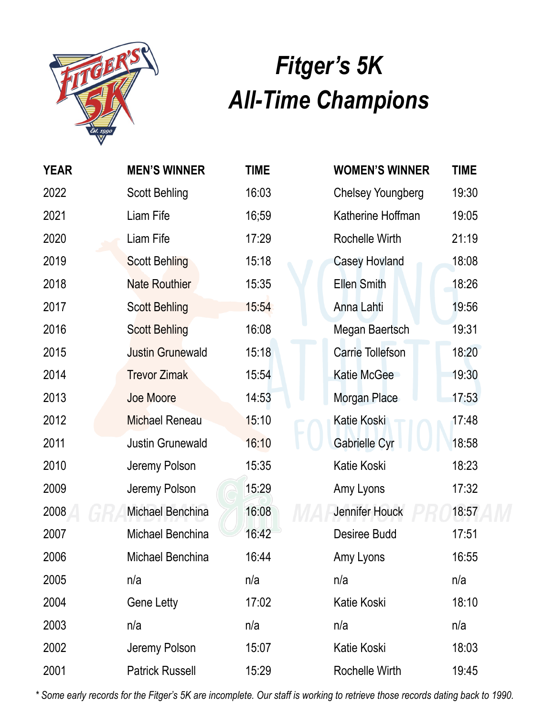

## *Fitger's 5K All-Time Champions*

| <b>YEAR</b> | <b>MEN'S WINNER</b>     | <b>TIME</b> |
|-------------|-------------------------|-------------|
| 2022        | <b>Scott Behling</b>    | 16:03       |
| 2021        | Liam Fife               | 16;59       |
| 2020        | Liam Fife               | 17:29       |
| 2019        | <b>Scott Behling</b>    | 15:18       |
| 2018        | <b>Nate Routhier</b>    | 15:35       |
| 2017        | <b>Scott Behling</b>    | 15:54       |
| 2016        | <b>Scott Behling</b>    | 16:08       |
| 2015        | <b>Justin Grunewald</b> | 15:18       |
| 2014        | <b>Trevor Zimak</b>     | 15:54       |
| 2013        | Joe Moore               | 14:53       |
| 2012        | <b>Michael Reneau</b>   | 15:10       |
| 2011        | <b>Justin Grunewald</b> | 16:10       |
| 2010        | Jeremy Polson           | 15:35       |
| 2009        | Jeremy Polson           | 15:29       |
| 2008        | Michael Benchina        | 16:08       |
| 2007        | Michael Benchina        | 16:42       |
| 2006        | Michael Benchina        | 16:44       |
| 2005        | n/a                     | n/a         |
| 2004        | <b>Gene Letty</b>       | 17:02       |
| 2003        | n/a                     | n/a         |
| 2002        | Jeremy Polson           | 15:07       |
| 2001        | <b>Patrick Russell</b>  | 15:29       |

| <b>WOMEN'S WINNER</b>   | TIME  |
|-------------------------|-------|
| Chelsey Youngberg       | 19:30 |
| Katherine Hoffman       | 19:05 |
| <b>Rochelle Wirth</b>   | 21:19 |
| <b>Casey Hovland</b>    | 18:08 |
| <b>Ellen Smith</b>      | 18:26 |
| Anna Lahti              | 19:56 |
| Megan Baertsch          | 19:31 |
| <b>Carrie Tollefson</b> | 18:20 |
| Katie McGee             | 19:30 |
| Morgan Place            | 17:53 |
| Katie Koski             | 17:48 |
| Gabrielle Cyr           | 18:58 |
| Katie Koski             | 18:23 |
| Amy Lyons               | 17:32 |
| Jennifer Houck          | 18:57 |
| <b>Desiree Budd</b>     | 17:51 |
| Amy Lyons               | 16:55 |
| n/a                     | n/a   |
| Katie Koski             | 18:10 |
| n/a                     | n/a   |
| Katie Koski             | 18:03 |
| Rochelle Wirth          | 19:45 |

*\* Some early records for the Fitger's 5K are incomplete. Our staff is working to retrieve those records dating back to 1990.*